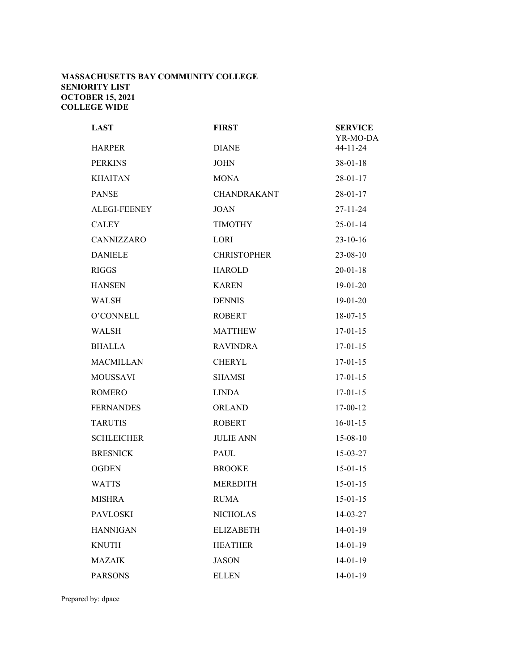## **MASSACHUSETTS BAY COMMUNITY COLLEGE SENIORITY LIST OCTOBER 15, 2021 COLLEGE WIDE**

| <b>LAST</b>         | <b>FIRST</b>       | <b>SERVICE</b><br>YR-MO-DA |
|---------------------|--------------------|----------------------------|
| <b>HARPER</b>       | <b>DIANE</b>       | $44 - 11 - 24$             |
| <b>PERKINS</b>      | <b>JOHN</b>        | $38 - 01 - 18$             |
| <b>KHAITAN</b>      | <b>MONA</b>        | $28 - 01 - 17$             |
| <b>PANSE</b>        | <b>CHANDRAKANT</b> | $28 - 01 - 17$             |
| <b>ALEGI-FEENEY</b> | <b>JOAN</b>        | $27 - 11 - 24$             |
| <b>CALEY</b>        | <b>TIMOTHY</b>     | $25 - 01 - 14$             |
| CANNIZZARO          | <b>LORI</b>        | $23 - 10 - 16$             |
| <b>DANIELE</b>      | <b>CHRISTOPHER</b> | $23 - 08 - 10$             |
| <b>RIGGS</b>        | <b>HAROLD</b>      | $20 - 01 - 18$             |
| <b>HANSEN</b>       | <b>KAREN</b>       | $19-01-20$                 |
| WALSH               | <b>DENNIS</b>      | $19-01-20$                 |
| O'CONNELL           | <b>ROBERT</b>      | $18-07-15$                 |
| WALSH               | <b>MATTHEW</b>     | $17-01-15$                 |
| <b>BHALLA</b>       | <b>RAVINDRA</b>    | $17-01-15$                 |
| <b>MACMILLAN</b>    | <b>CHERYL</b>      | $17-01-15$                 |
| <b>MOUSSAVI</b>     | <b>SHAMSI</b>      | $17-01-15$                 |
| <b>ROMERO</b>       | <b>LINDA</b>       | $17-01-15$                 |
| <b>FERNANDES</b>    | <b>ORLAND</b>      | $17 - 00 - 12$             |
| <b>TARUTIS</b>      | <b>ROBERT</b>      | $16 - 01 - 15$             |
| <b>SCHLEICHER</b>   | <b>JULIE ANN</b>   | $15 - 08 - 10$             |
| <b>BRESNICK</b>     | <b>PAUL</b>        | 15-03-27                   |
| <b>OGDEN</b>        | <b>BROOKE</b>      | $15-01-15$                 |
| <b>WATTS</b>        | <b>MEREDITH</b>    | $15 - 01 - 15$             |
| <b>MISHRA</b>       | <b>RUMA</b>        | $15 - 01 - 15$             |
| <b>PAVLOSKI</b>     | <b>NICHOLAS</b>    | 14-03-27                   |
| <b>HANNIGAN</b>     | <b>ELIZABETH</b>   | $14 - 01 - 19$             |
| <b>KNUTH</b>        | <b>HEATHER</b>     | 14-01-19                   |
| <b>MAZAIK</b>       | <b>JASON</b>       | $14 - 01 - 19$             |
| <b>PARSONS</b>      | <b>ELLEN</b>       | 14-01-19                   |

Prepared by: dpace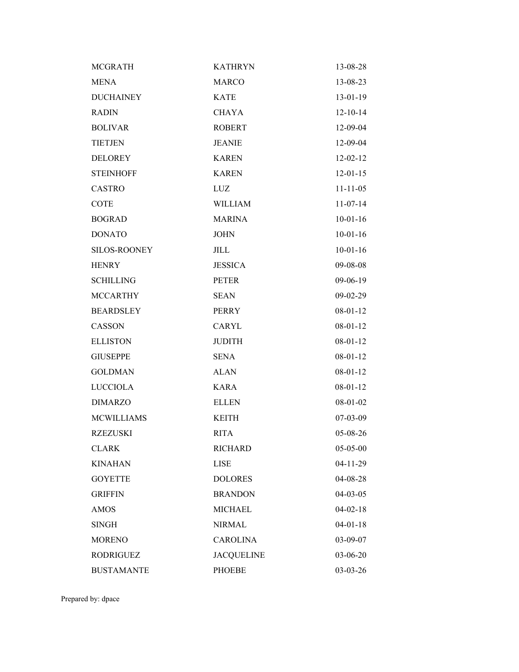| <b>MCGRATH</b>    | <b>KATHRYN</b>    | 13-08-28       |
|-------------------|-------------------|----------------|
| <b>MENA</b>       | <b>MARCO</b>      | 13-08-23       |
| <b>DUCHAINEY</b>  | <b>KATE</b>       | 13-01-19       |
| <b>RADIN</b>      | <b>CHAYA</b>      | $12 - 10 - 14$ |
| <b>BOLIVAR</b>    | <b>ROBERT</b>     | 12-09-04       |
| <b>TIETJEN</b>    | <b>JEANIE</b>     | 12-09-04       |
| <b>DELOREY</b>    | <b>KAREN</b>      | $12 - 02 - 12$ |
| <b>STEINHOFF</b>  | <b>KAREN</b>      | $12 - 01 - 15$ |
| <b>CASTRO</b>     | LUZ               | $11 - 11 - 05$ |
| <b>COTE</b>       | <b>WILLIAM</b>    | $11-07-14$     |
| <b>BOGRAD</b>     | <b>MARINA</b>     | $10-01-16$     |
| <b>DONATO</b>     | <b>JOHN</b>       | $10-01-16$     |
| SILOS-ROONEY      | JILL              | $10-01-16$     |
| <b>HENRY</b>      | <b>JESSICA</b>    | 09-08-08       |
| <b>SCHILLING</b>  | <b>PETER</b>      | $09-06-19$     |
| <b>MCCARTHY</b>   | <b>SEAN</b>       | $09 - 02 - 29$ |
| <b>BEARDSLEY</b>  | <b>PERRY</b>      | $08 - 01 - 12$ |
| CASSON            | <b>CARYL</b>      | $08 - 01 - 12$ |
| <b>ELLISTON</b>   | <b>JUDITH</b>     | $08 - 01 - 12$ |
| <b>GIUSEPPE</b>   | <b>SENA</b>       | $08 - 01 - 12$ |
| <b>GOLDMAN</b>    | <b>ALAN</b>       | $08-01-12$     |
| <b>LUCCIOLA</b>   | <b>KARA</b>       | $08 - 01 - 12$ |
| <b>DIMARZO</b>    | <b>ELLEN</b>      | $08-01-02$     |
| <b>MCWILLIAMS</b> | <b>KEITH</b>      | 07-03-09       |
| <b>RZEZUSKI</b>   | <b>RITA</b>       | 05-08-26       |
| <b>CLARK</b>      | <b>RICHARD</b>    | 05-05-00       |
| <b>KINAHAN</b>    | <b>LISE</b>       | $04-11-29$     |
| <b>GOYETTE</b>    | <b>DOLORES</b>    | 04-08-28       |
| <b>GRIFFIN</b>    | <b>BRANDON</b>    | $04 - 03 - 05$ |
| <b>AMOS</b>       | <b>MICHAEL</b>    | $04 - 02 - 18$ |
| SINGH             | <b>NIRMAL</b>     | $04 - 01 - 18$ |
| <b>MORENO</b>     | <b>CAROLINA</b>   | 03-09-07       |
| <b>RODRIGUEZ</b>  | <b>JACQUELINE</b> | 03-06-20       |
| <b>BUSTAMANTE</b> | <b>PHOEBE</b>     | 03-03-26       |

Prepared by: dpace